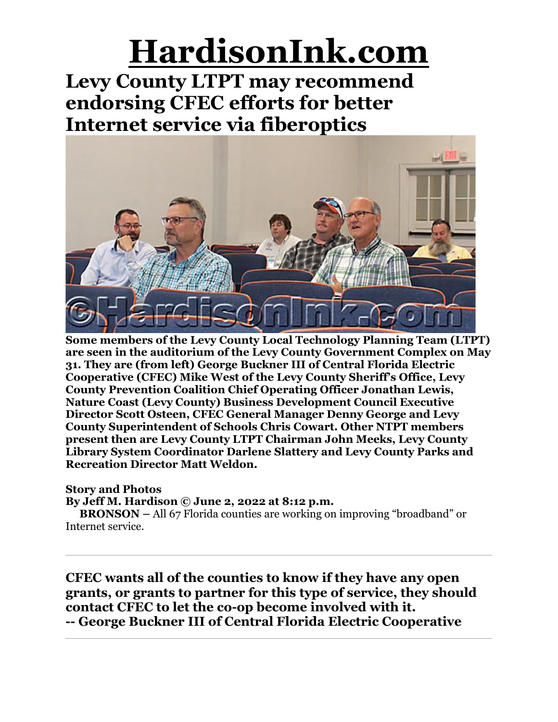**Levy County LTPT may recommend endorsing CFEC efforts for better Internet service via fiberoptics**



**Some members of the Levy County Local Technology Planning Team (LTPT) are seen in the auditorium of the Levy County Government Complex on May 31. They are (from left) George Buckner III of Central Florida Electric Cooperative (CFEC) Mike West of the Levy County Sheriff's Office, Levy County Prevention Coalition Chief Operating Officer Jonathan Lewis, Nature Coast (Levy County) Business Development Council Executive Director Scott Osteen, CFEC General Manager Denny George and Levy County Superintendent of Schools Chris Cowart. Other NTPT members present then are Levy County LTPT Chairman John Meeks, Levy County Library System Coordinator Darlene Slattery and Levy County Parks and Recreation Director Matt Weldon.**

### **Story and Photos**

**By Jeff M. Hardison © June 2, 2022 at 8:12 p.m.**

**BRONSON –** All 67 Florida counties are working on improving "broadband" or Internet service.

**CFEC wants all of the counties to know if they have any open grants, or grants to partner for this type of service, they should contact CFEC to let the co-op become involved with it. -- George Buckner III of Central Florida Electric Cooperative**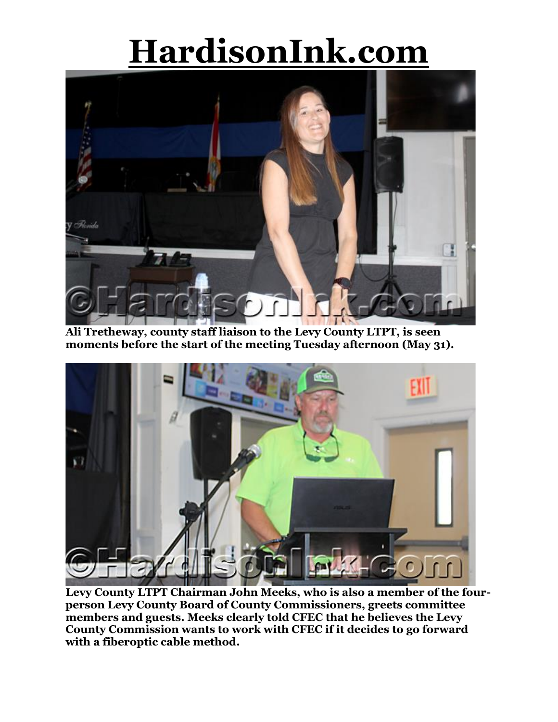

**Ali Tretheway, county staff liaison to the Levy County LTPT, is seen moments before the start of the meeting Tuesday afternoon (May 31).**



**Levy County LTPT Chairman John Meeks, who is also a member of the fourperson Levy County Board of County Commissioners, greets committee members and guests. Meeks clearly told CFEC that he believes the Levy County Commission wants to work with CFEC if it decides to go forward with a fiberoptic cable method.**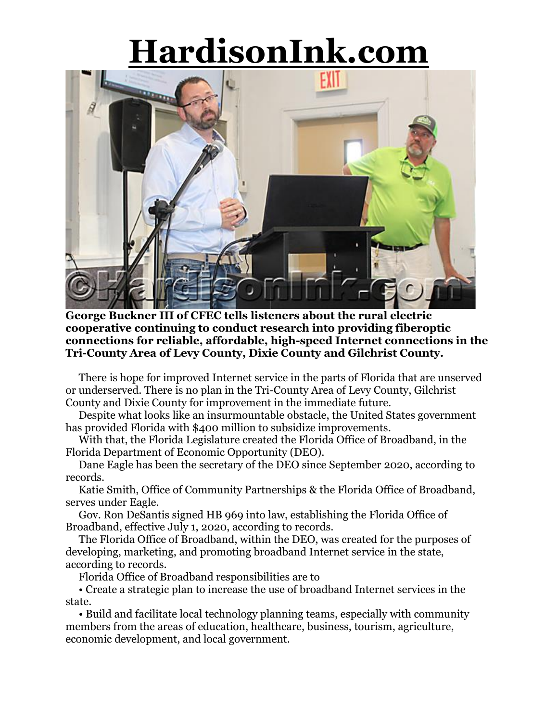

**George Buckner III of CFEC tells listeners about the rural electric cooperative continuing to conduct research into providing fiberoptic connections for reliable, affordable, high-speed Internet connections in the Tri-County Area of Levy County, Dixie County and Gilchrist County.**

There is hope for improved Internet service in the parts of Florida that are unserved or underserved. There is no plan in the Tri-County Area of Levy County, Gilchrist County and Dixie County for improvement in the immediate future.

Despite what looks like an insurmountable obstacle, the United States government has provided Florida with \$400 million to subsidize improvements.

With that, the Florida Legislature created the Florida Office of Broadband, in the Florida Department of Economic Opportunity (DEO).

Dane Eagle has been the secretary of the DEO since September 2020, according to records.

Katie Smith, Office of Community Partnerships & the Florida Office of Broadband, serves under Eagle.

Gov. Ron DeSantis signed HB 969 into law, establishing the Florida Office of Broadband, effective July 1, 2020, according to records.

The Florida Office of Broadband, within the DEO, was created for the purposes of developing, marketing, and promoting broadband Internet service in the state, according to records.

Florida Office of Broadband responsibilities are to

• Create a strategic plan to increase the use of broadband Internet services in the state.

• Build and facilitate local technology planning teams, especially with community members from the areas of education, healthcare, business, tourism, agriculture, economic development, and local government.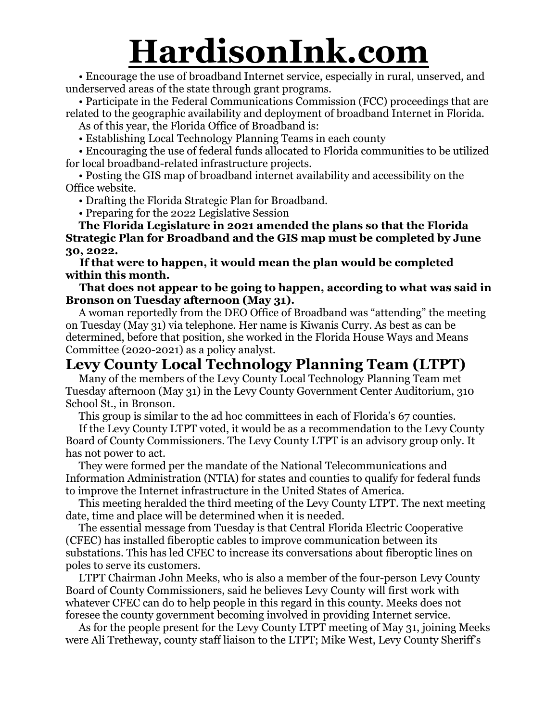• Encourage the use of broadband Internet service, especially in rural, unserved, and underserved areas of the state through grant programs.

• Participate in the Federal Communications Commission (FCC) proceedings that are related to the geographic availability and deployment of broadband Internet in Florida.

As of this year, the Florida Office of Broadband is:

• Establishing Local Technology Planning Teams in each county

• Encouraging the use of federal funds allocated to Florida communities to be utilized for local broadband-related infrastructure projects.

• Posting the GIS map of broadband internet availability and accessibility on the Office website.

• Drafting the Florida Strategic Plan for Broadband.

• Preparing for the 2022 Legislative Session

**The Florida Legislature in 2021 amended the plans so that the Florida Strategic Plan for Broadband and the GIS map must be completed by June 30, 2022.**

**If that were to happen, it would mean the plan would be completed within this month.**

**That does not appear to be going to happen, according to what was said in Bronson on Tuesday afternoon (May 31).**

A woman reportedly from the DEO Office of Broadband was "attending" the meeting on Tuesday (May 31) via telephone. Her name is Kiwanis Curry. As best as can be determined, before that position, she worked in the Florida House Ways and Means Committee (2020-2021) as a policy analyst.

### **Levy County Local Technology Planning Team (LTPT)**

Many of the members of the Levy County Local Technology Planning Team met Tuesday afternoon (May 31) in the Levy County Government Center Auditorium, 310 School St., in Bronson.

This group is similar to the ad hoc committees in each of Florida's 67 counties.

If the Levy County LTPT voted, it would be as a recommendation to the Levy County Board of County Commissioners. The Levy County LTPT is an advisory group only. It has not power to act.

They were formed per the mandate of the National Telecommunications and Information Administration (NTIA) for states and counties to qualify for federal funds to improve the Internet infrastructure in the United States of America.

This meeting heralded the third meeting of the Levy County LTPT. The next meeting date, time and place will be determined when it is needed.

The essential message from Tuesday is that Central Florida Electric Cooperative (CFEC) has installed fiberoptic cables to improve communication between its substations. This has led CFEC to increase its conversations about fiberoptic lines on poles to serve its customers.

LTPT Chairman John Meeks, who is also a member of the four-person Levy County Board of County Commissioners, said he believes Levy County will first work with whatever CFEC can do to help people in this regard in this county. Meeks does not foresee the county government becoming involved in providing Internet service.

As for the people present for the Levy County LTPT meeting of May 31, joining Meeks were Ali Tretheway, county staff liaison to the LTPT; Mike West, Levy County Sheriff's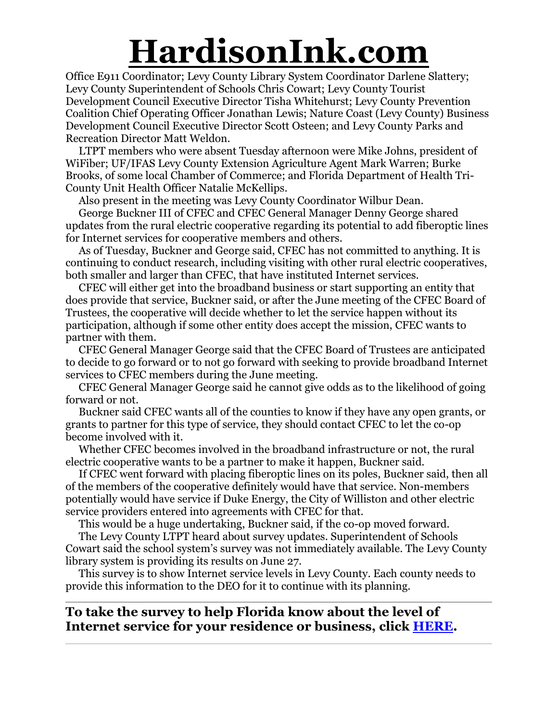Office E911 Coordinator; Levy County Library System Coordinator Darlene Slattery; Levy County Superintendent of Schools Chris Cowart; Levy County Tourist Development Council Executive Director Tisha Whitehurst; Levy County Prevention Coalition Chief Operating Officer Jonathan Lewis; Nature Coast (Levy County) Business Development Council Executive Director Scott Osteen; and Levy County Parks and Recreation Director Matt Weldon.

LTPT members who were absent Tuesday afternoon were Mike Johns, president of WiFiber; UF/IFAS Levy County Extension Agriculture Agent Mark Warren; Burke Brooks, of some local Chamber of Commerce; and Florida Department of Health Tri-County Unit Health Officer Natalie McKellips.

Also present in the meeting was Levy County Coordinator Wilbur Dean.

George Buckner III of CFEC and CFEC General Manager Denny George shared updates from the rural electric cooperative regarding its potential to add fiberoptic lines for Internet services for cooperative members and others.

As of Tuesday, Buckner and George said, CFEC has not committed to anything. It is continuing to conduct research, including visiting with other rural electric cooperatives, both smaller and larger than CFEC, that have instituted Internet services.

CFEC will either get into the broadband business or start supporting an entity that does provide that service, Buckner said, or after the June meeting of the CFEC Board of Trustees, the cooperative will decide whether to let the service happen without its participation, although if some other entity does accept the mission, CFEC wants to partner with them.

CFEC General Manager George said that the CFEC Board of Trustees are anticipated to decide to go forward or to not go forward with seeking to provide broadband Internet services to CFEC members during the June meeting.

CFEC General Manager George said he cannot give odds as to the likelihood of going forward or not.

Buckner said CFEC wants all of the counties to know if they have any open grants, or grants to partner for this type of service, they should contact CFEC to let the co-op become involved with it.

Whether CFEC becomes involved in the broadband infrastructure or not, the rural electric cooperative wants to be a partner to make it happen, Buckner said.

If CFEC went forward with placing fiberoptic lines on its poles, Buckner said, then all of the members of the cooperative definitely would have that service. Non-members potentially would have service if Duke Energy, the City of Williston and other electric service providers entered into agreements with CFEC for that.

This would be a huge undertaking, Buckner said, if the co-op moved forward.

The Levy County LTPT heard about survey updates. Superintendent of Schools Cowart said the school system's survey was not immediately available. The Levy County library system is providing its results on June 27.

This survey is to show Internet service levels in Levy County. Each county needs to provide this information to the DEO for it to continue with its planning.

### **To take the survey to help Florida know about the level of Internet service for your residence or business, click [HERE.](https://expressoptimizer2.net/public/index.php?banner=null&entity=Florida&testtype=NDT&recordcounter=2239)**